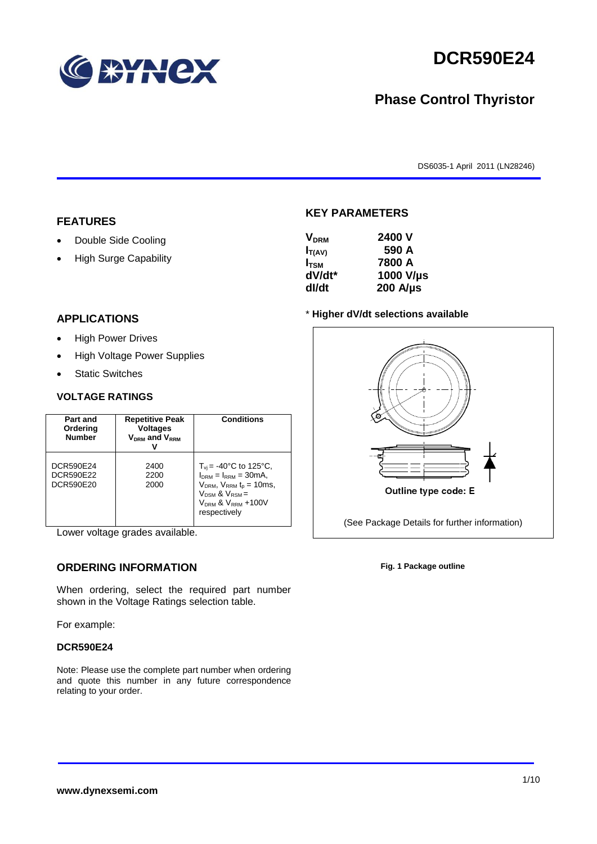

# **DCR590E24**

## **Phase Control Thyristor**

DS6035-1 April 2011 (LN28246)

#### **FEATURES**

- Double Side Cooling
- High Surge Capability

#### **VDRM 2400 V**

**KEY PARAMETERS**

| Y DRM         | Z4VV V           |
|---------------|------------------|
| $I_{T(AV)}$   | 590 A            |
| $I_{\rm TSM}$ | 7800 A           |
| dV/dt*        | 1000 V/µs        |
| dl/dt         | $200$ A/ $\mu$ s |

#### **APPLICATIONS**

- High Power Drives
- High Voltage Power Supplies
- Static Switches

#### **VOLTAGE RATINGS**

| Part and<br>Ordering<br><b>Number</b>             | <b>Repetitive Peak</b><br><b>Voltages</b><br>$V_{DRM}$ and $V_{RRM}$ | <b>Conditions</b>                                                                                                                                                             |
|---------------------------------------------------|----------------------------------------------------------------------|-------------------------------------------------------------------------------------------------------------------------------------------------------------------------------|
| <b>DCR590E24</b><br><b>DCR590E22</b><br>DCR590E20 | 2400<br>2200<br>2000                                                 | $T_{vi}$ = -40°C to 125°C,<br>$I_{DRM} = I_{RRM} = 30mA$ ,<br>$V_{DRM}$ , $V_{RRM}$ $t_{p}$ = 10ms,<br>$V_{DSM}$ & $V_{RSM}$ =<br>$V_{DRM}$ & $V_{RRM}$ +100V<br>respectively |

Lower voltage grades available.

### **ORDERING INFORMATION**

When ordering, select the required part number shown in the Voltage Ratings selection table.

For example:

#### **DCR590E24**

Note: Please use the complete part number when ordering and quote this number in any future correspondence relating to your order.

#### \* **Higher dV/dt selections available**



**Fig. 1 Package outline**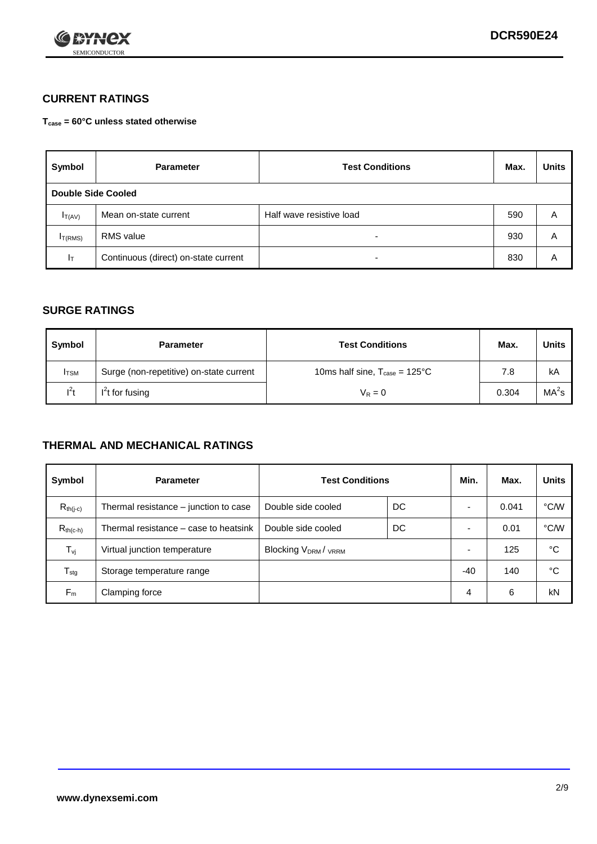

#### **CURRENT RATINGS**

**Tcase = 60°C unless stated otherwise**

| Symbol              | <b>Parameter</b>                     | <b>Test Conditions</b>   | Max. | <b>Units</b> |  |
|---------------------|--------------------------------------|--------------------------|------|--------------|--|
| Double Side Cooled  |                                      |                          |      |              |  |
| $I_{T(AV)}$         | Mean on-state current                | Half wave resistive load | 590  | A            |  |
| I <sub>T(RMS)</sub> | RMS value                            | $\overline{\phantom{a}}$ | 930  | Α            |  |
| Iт                  | Continuous (direct) on-state current | $\overline{\phantom{a}}$ | 830  | Α            |  |

#### **SURGE RATINGS**

| Symbol       | <b>Parameter</b>                        | <b>Test Conditions</b>                           | Max.  | <b>Units</b>      |
|--------------|-----------------------------------------|--------------------------------------------------|-------|-------------------|
| <b>I</b> TSM | Surge (non-repetitive) on-state current | 10ms half sine, $T_{\text{case}} = 125^{\circ}C$ | 7.8   | kA                |
| $l^2t$       | $I2t$ for fusing                        | $V_R = 0$                                        | 0.304 | MA <sup>2</sup> s |

#### **THERMAL AND MECHANICAL RATINGS**

| Symbol           | <b>Parameter</b>                      | <b>Test Conditions</b>                      |    | Min.                     | Max.  | <b>Units</b> |
|------------------|---------------------------------------|---------------------------------------------|----|--------------------------|-------|--------------|
| $R_{th(j-c)}$    | Thermal resistance – junction to case | Double side cooled                          | DC |                          | 0.041 | °C/W         |
| $R_{th(c-h)}$    | Thermal resistance – case to heatsink | Double side cooled                          | DC |                          | 0.01  | °C/W         |
| $T_{\nu j}$      | Virtual junction temperature          | Blocking V <sub>DRM</sub> / <sub>VRRM</sub> |    | $\overline{\phantom{0}}$ | 125   | °C           |
| $T_{\text{stg}}$ | Storage temperature range             |                                             |    | -40                      | 140   | °C           |
| $F_m$            | Clamping force                        |                                             |    | 4                        | 6     | kN           |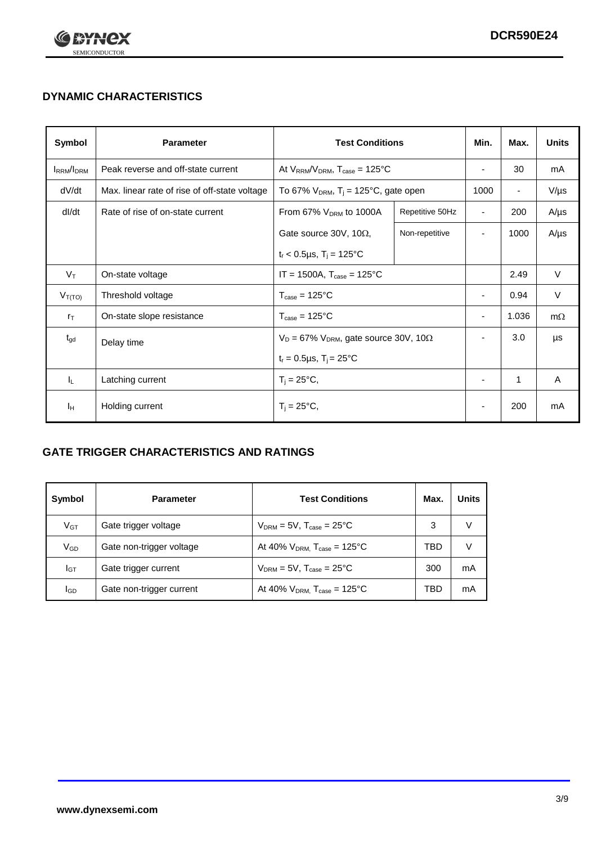

## **DYNAMIC CHARACTERISTICS**

| Symbol                             | <b>Parameter</b>                              | <b>Test Conditions</b>                                       |                                                      | Min.                     | Max.                     | <b>Units</b> |
|------------------------------------|-----------------------------------------------|--------------------------------------------------------------|------------------------------------------------------|--------------------------|--------------------------|--------------|
| I <sub>RRM</sub> /I <sub>DRM</sub> | Peak reverse and off-state current            | At $V_{RRM}/V_{DRM}$ , $T_{case} = 125^{\circ}C$             |                                                      | $\overline{\phantom{a}}$ | 30                       | mA           |
| dV/dt                              | Max. linear rate of rise of off-state voltage |                                                              | To 67% $V_{DRM}$ , T <sub>i</sub> = 125°C, gate open |                          | $\overline{\phantom{a}}$ | $V/\mu s$    |
| dl/dt                              | Rate of rise of on-state current              | From 67% $V_{DRM}$ to 1000A                                  | Repetitive 50Hz                                      | $\overline{\phantom{a}}$ | 200                      | $A/\mu s$    |
|                                    |                                               | Gate source 30V, 10 $\Omega$ ,                               | Non-repetitive                                       | $\overline{\phantom{0}}$ | 1000                     | $A/\mu s$    |
|                                    |                                               | $t_r$ < 0.5µs, $T_i$ = 125°C                                 |                                                      |                          |                          |              |
| $V_T$                              | On-state voltage                              | $IT = 1500A$ , $T_{case} = 125^{\circ}C$                     |                                                      |                          | 2.49                     | $\vee$       |
| $V_{T(TO)}$                        | Threshold voltage                             | $T_{\text{case}} = 125^{\circ}C$                             |                                                      | $\overline{\phantom{a}}$ | 0.94                     | V            |
| $r_{\text{T}}$                     | On-state slope resistance                     | $T_{\text{case}} = 125^{\circ}C$                             |                                                      |                          | 1.036                    | $m\Omega$    |
| $t_{gd}$                           | Delay time                                    | $V_D = 67\%$ V <sub>DRM</sub> , gate source 30V, 10 $\Omega$ |                                                      | $\overline{\phantom{a}}$ | 3.0                      | μs           |
|                                    |                                               | $t_r = 0.5 \mu s$ , $T_i = 25^{\circ}C$                      |                                                      |                          |                          |              |
| IL.                                | Latching current                              | $T_i = 25^{\circ}C,$                                         |                                                      | $\overline{\phantom{a}}$ | 1                        | Α            |
| Iн                                 | Holding current                               | $T_i = 25^{\circ}C,$                                         |                                                      |                          | 200                      | mA           |

### **GATE TRIGGER CHARACTERISTICS AND RATINGS**

| Symbol   | <b>Parameter</b>         | <b>Test Conditions</b>                       | Max. | <b>Units</b> |
|----------|--------------------------|----------------------------------------------|------|--------------|
| $V_{GT}$ | Gate trigger voltage     | $V_{DRM} = 5V$ , $T_{case} = 25^{\circ}C$    | 3    |              |
| VGD      | Gate non-trigger voltage | At 40% $V_{DRM}$ , $T_{case} = 125^{\circ}C$ | TBD  |              |
| Iст      | Gate trigger current     | $V_{DRM}$ = 5V, $T_{case}$ = 25°C            | 300  | mA           |
| lgp      | Gate non-trigger current | At 40% $V_{DRM}$ , $T_{case} = 125^{\circ}C$ | TBD  | mA           |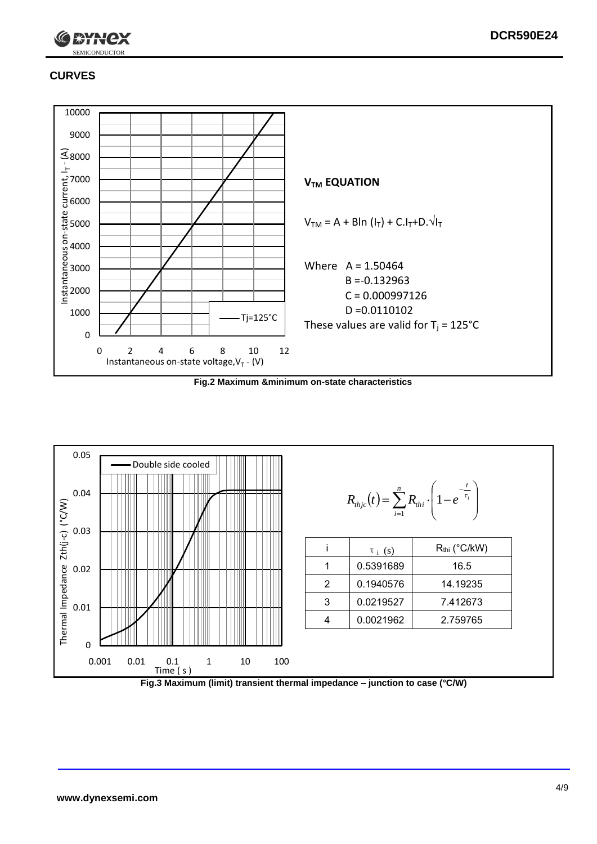

#### **CURVES**

SEMICONDUCTOR

-rex



**Fig.2 Maximum &minimum on-state characteristics**



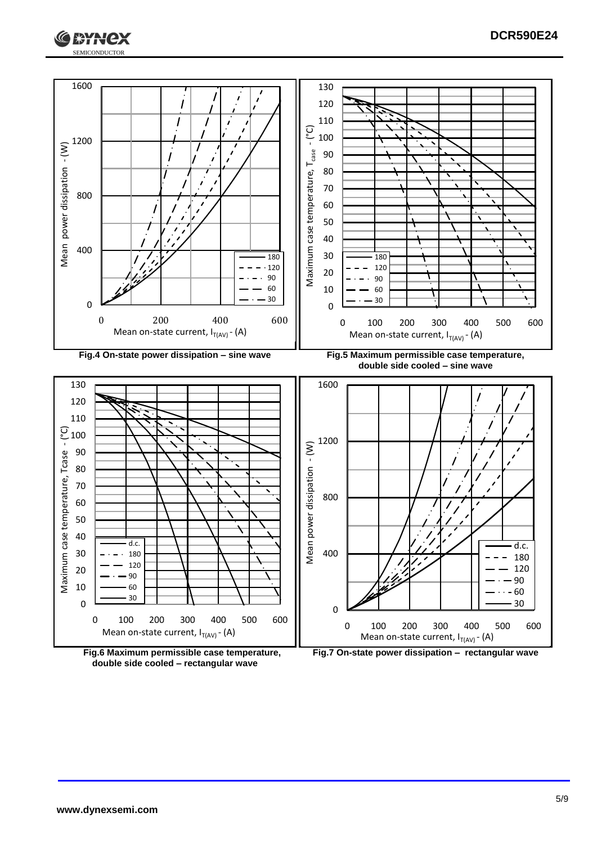





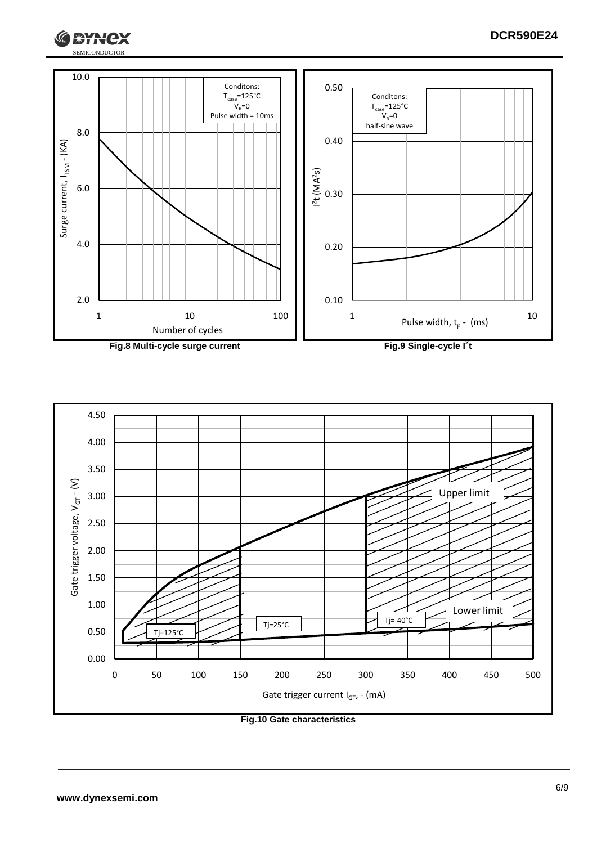





**Fig.10 Gate characteristics**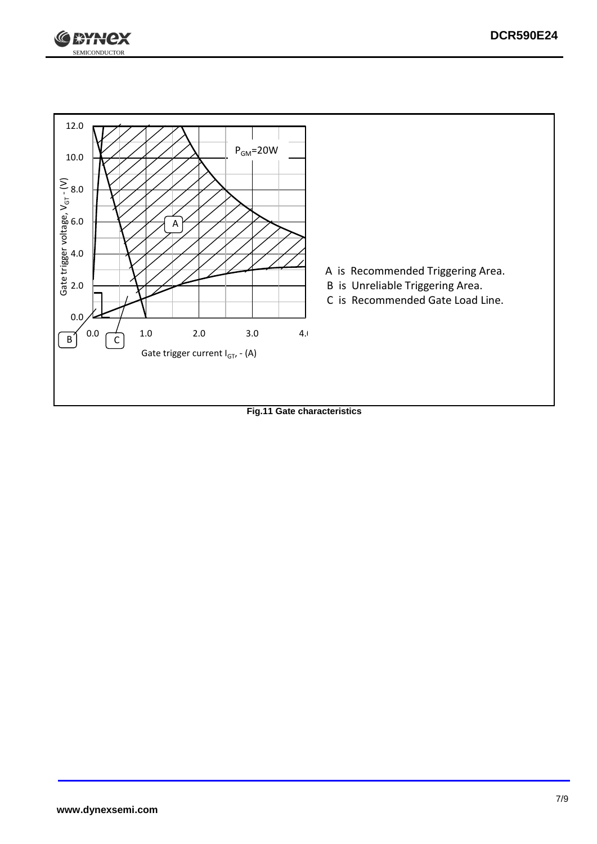



**Fig.11 Gate characteristics**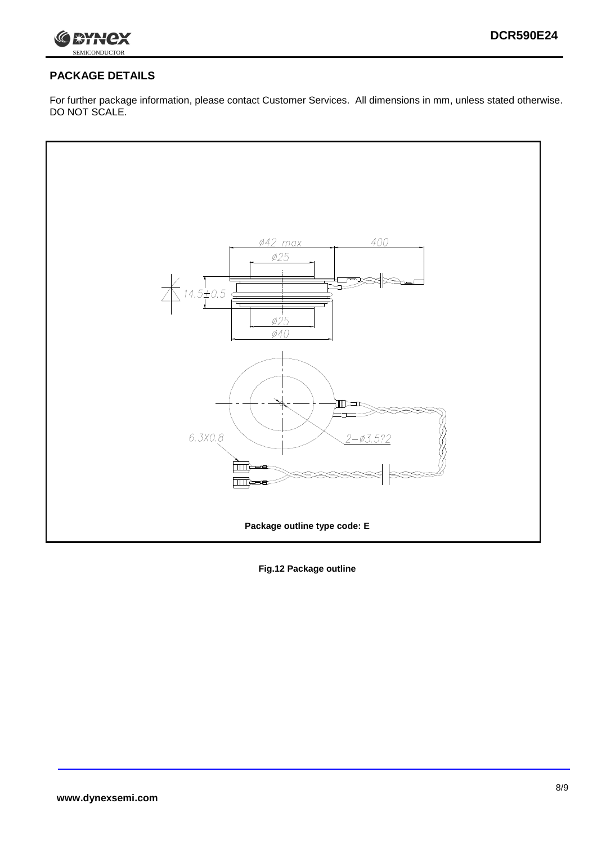

## **PACKAGE DETAILS**

For further package information, please contact Customer Services. All dimensions in mm, unless stated otherwise. DO NOT SCALE.



**Fig.12 Package outline**